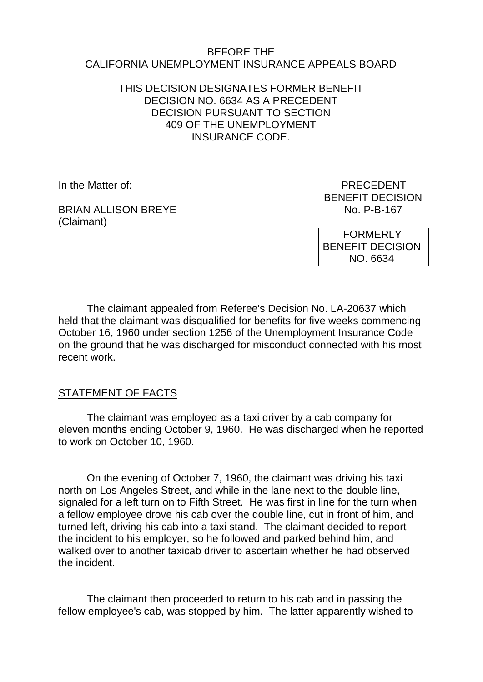#### BEFORE THE CALIFORNIA UNEMPLOYMENT INSURANCE APPEALS BOARD

## THIS DECISION DESIGNATES FORMER BENEFIT DECISION NO. 6634 AS A PRECEDENT DECISION PURSUANT TO SECTION 409 OF THE UNEMPLOYMENT INSURANCE CODE.

In the Matter of: **PRECEDENT** 

BRIAN ALLISON BREYE (Claimant)

BENEFIT DECISION<br>No. P-B-167

 FORMERLY BENEFIT DECISION NO. 6634

The claimant appealed from Referee's Decision No. LA-20637 which held that the claimant was disqualified for benefits for five weeks commencing October 16, 1960 under section 1256 of the Unemployment Insurance Code on the ground that he was discharged for misconduct connected with his most recent work.

#### STATEMENT OF FACTS

The claimant was employed as a taxi driver by a cab company for eleven months ending October 9, 1960. He was discharged when he reported to work on October 10, 1960.

On the evening of October 7, 1960, the claimant was driving his taxi north on Los Angeles Street, and while in the lane next to the double line, signaled for a left turn on to Fifth Street. He was first in line for the turn when a fellow employee drove his cab over the double line, cut in front of him, and turned left, driving his cab into a taxi stand. The claimant decided to report the incident to his employer, so he followed and parked behind him, and walked over to another taxicab driver to ascertain whether he had observed the incident.

The claimant then proceeded to return to his cab and in passing the fellow employee's cab, was stopped by him. The latter apparently wished to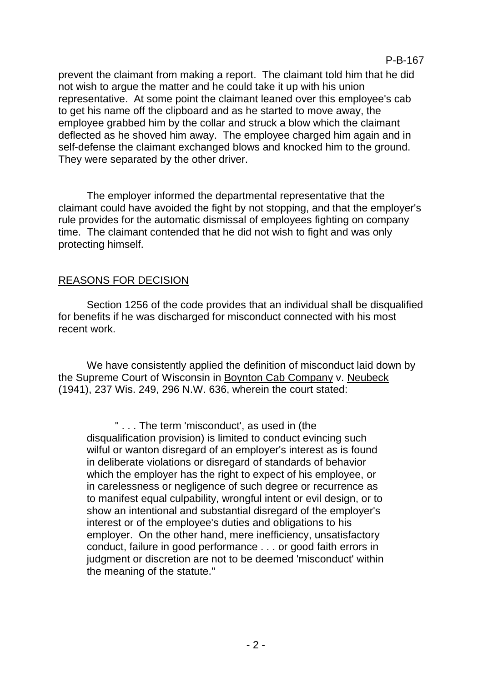prevent the claimant from making a report. The claimant told him that he did not wish to argue the matter and he could take it up with his union representative. At some point the claimant leaned over this employee's cab to get his name off the clipboard and as he started to move away, the employee grabbed him by the collar and struck a blow which the claimant deflected as he shoved him away. The employee charged him again and in self-defense the claimant exchanged blows and knocked him to the ground. They were separated by the other driver.

The employer informed the departmental representative that the claimant could have avoided the fight by not stopping, and that the employer's rule provides for the automatic dismissal of employees fighting on company time. The claimant contended that he did not wish to fight and was only protecting himself.

## REASONS FOR DECISION

Section 1256 of the code provides that an individual shall be disqualified for benefits if he was discharged for misconduct connected with his most recent work.

We have consistently applied the definition of misconduct laid down by the Supreme Court of Wisconsin in Boynton Cab Company v. Neubeck (1941), 237 Wis. 249, 296 N.W. 636, wherein the court stated:

" . . . The term 'misconduct', as used in (the disqualification provision) is limited to conduct evincing such wilful or wanton disregard of an employer's interest as is found in deliberate violations or disregard of standards of behavior which the employer has the right to expect of his employee, or in carelessness or negligence of such degree or recurrence as to manifest equal culpability, wrongful intent or evil design, or to show an intentional and substantial disregard of the employer's interest or of the employee's duties and obligations to his employer. On the other hand, mere inefficiency, unsatisfactory conduct, failure in good performance . . . or good faith errors in judgment or discretion are not to be deemed 'misconduct' within the meaning of the statute."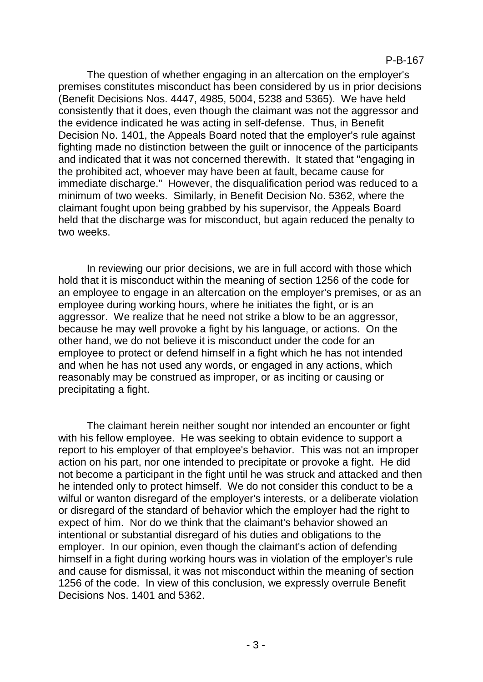The question of whether engaging in an altercation on the employer's premises constitutes misconduct has been considered by us in prior decisions (Benefit Decisions Nos. 4447, 4985, 5004, 5238 and 5365). We have held consistently that it does, even though the claimant was not the aggressor and the evidence indicated he was acting in self-defense. Thus, in Benefit Decision No. 1401, the Appeals Board noted that the employer's rule against fighting made no distinction between the guilt or innocence of the participants and indicated that it was not concerned therewith. It stated that "engaging in the prohibited act, whoever may have been at fault, became cause for immediate discharge." However, the disqualification period was reduced to a minimum of two weeks. Similarly, in Benefit Decision No. 5362, where the claimant fought upon being grabbed by his supervisor, the Appeals Board held that the discharge was for misconduct, but again reduced the penalty to two weeks.

In reviewing our prior decisions, we are in full accord with those which hold that it is misconduct within the meaning of section 1256 of the code for an employee to engage in an altercation on the employer's premises, or as an employee during working hours, where he initiates the fight, or is an aggressor. We realize that he need not strike a blow to be an aggressor, because he may well provoke a fight by his language, or actions. On the other hand, we do not believe it is misconduct under the code for an employee to protect or defend himself in a fight which he has not intended and when he has not used any words, or engaged in any actions, which reasonably may be construed as improper, or as inciting or causing or precipitating a fight.

The claimant herein neither sought nor intended an encounter or fight with his fellow employee. He was seeking to obtain evidence to support a report to his employer of that employee's behavior. This was not an improper action on his part, nor one intended to precipitate or provoke a fight. He did not become a participant in the fight until he was struck and attacked and then he intended only to protect himself. We do not consider this conduct to be a wilful or wanton disregard of the employer's interests, or a deliberate violation or disregard of the standard of behavior which the employer had the right to expect of him. Nor do we think that the claimant's behavior showed an intentional or substantial disregard of his duties and obligations to the employer. In our opinion, even though the claimant's action of defending himself in a fight during working hours was in violation of the employer's rule and cause for dismissal, it was not misconduct within the meaning of section 1256 of the code. In view of this conclusion, we expressly overrule Benefit Decisions Nos. 1401 and 5362.